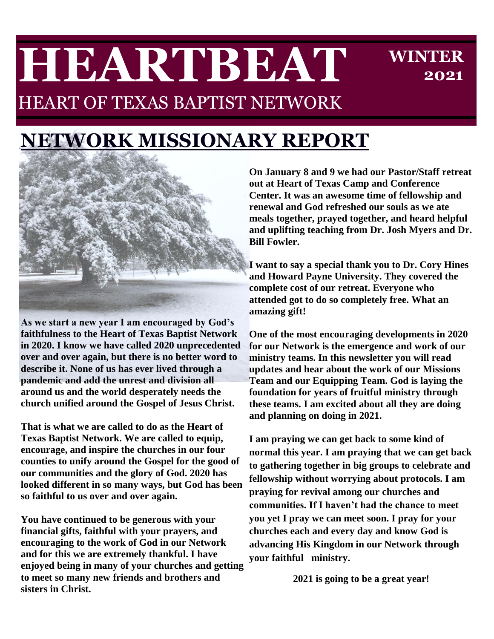# **HEARTBEAT** HEART OF TEXAS BAPTIST NETWORK

**WINTER 2021**

# **NETWORK MISSIONARY REPORT**



**As we start a new year I am encouraged by God's faithfulness to the Heart of Texas Baptist Network in 2020. I know we have called 2020 unprecedented over and over again, but there is no better word to describe it. None of us has ever lived through a pandemic and add the unrest and division all around us and the world desperately needs the church unified around the Gospel of Jesus Christ.** 

**That is what we are called to do as the Heart of Texas Baptist Network. We are called to equip, encourage, and inspire the churches in our four counties to unify around the Gospel for the good of our communities and the glory of God. 2020 has looked different in so many ways, but God has been so faithful to us over and over again.**

**You have continued to be generous with your financial gifts, faithful with your prayers, and encouraging to the work of God in our Network and for this we are extremely thankful. I have enjoyed being in many of your churches and getting to meet so many new friends and brothers and sisters in Christ.**

**On January 8 and 9 we had our Pastor/Staff retreat out at Heart of Texas Camp and Conference Center. It was an awesome time of fellowship and renewal and God refreshed our souls as we ate meals together, prayed together, and heard helpful and uplifting teaching from Dr. Josh Myers and Dr. Bill Fowler.** 

**I want to say a special thank you to Dr. Cory Hines and Howard Payne University. They covered the complete cost of our retreat. Everyone who attended got to do so completely free. What an amazing gift!**

**One of the most encouraging developments in 2020 for our Network is the emergence and work of our ministry teams. In this newsletter you will read updates and hear about the work of our Missions Team and our Equipping Team. God is laying the foundation for years of fruitful ministry through these teams. I am excited about all they are doing and planning on doing in 2021.**

**I am praying we can get back to some kind of normal this year. I am praying that we can get back to gathering together in big groups to celebrate and fellowship without worrying about protocols. I am praying for revival among our churches and communities. If I haven't had the chance to meet you yet I pray we can meet soon. I pray for your churches each and every day and know God is advancing His Kingdom in our Network through your faithful ministry.** 

**2021 is going to be a great year!**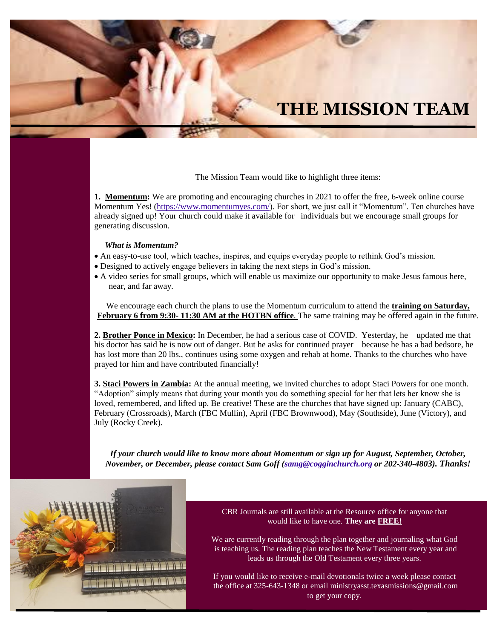#### **THE MISSION TEAM**

The Mission Team would like to highlight three items:

**1. Momentum:** We are promoting and encouraging churches in 2021 to offer the free, 6-week online course Momentum Yes! [\(https://www.momentumyes.com/\)](https://www.momentumyes.com/). For short, we just call it "Momentum". Ten churches have already signed up! Your church could make it available for individuals but we encourage small groups for generating discussion.

#### *What is Momentum?*

- An easy-to-use tool, which teaches, inspires, and equips everyday people to rethink God's mission.
- Designed to actively engage believers in taking the next steps in God's mission.
- A video series for small groups, which will enable us maximize our opportunity to make Jesus famous here, near, and far away.

We encourage each church the plans to use the Momentum curriculum to attend the **training on Saturday, February 6 from 9:30- 11:30 AM at the HOTBN office**. The same training may be offered again in the future.

**2. Brother Ponce in Mexico:** In December, he had a serious case of COVID. Yesterday, he updated me that his doctor has said he is now out of danger. But he asks for continued prayer because he has a bad bedsore, he has lost more than 20 lbs., continues using some oxygen and rehab at home. Thanks to the churches who have prayed for him and have contributed financially!

**3. Staci Powers in Zambia:** At the annual meeting, we invited churches to adopt Staci Powers for one month. "Adoption" simply means that during your month you do something special for her that lets her know she is loved, remembered, and lifted up. Be creative! These are the churches that have signed up: January (CABC), February (Crossroads), March (FBC Mullin), April (FBC Brownwood), May (Southside), June (Victory), and July (Rocky Creek).

*If your church would like to know more about Momentum or sign up for August, September, October, November, or December, please contact Sam Goff [\(samg@cogginchurch.org](mailto:samg@cogginchurch.org) or 202-340-4803). Thanks!*



CBR Journals are still available at the Resource office for anyone that would like to have one. **They are FREE!**

We are currently reading through the plan together and journaling what God is teaching us. The reading plan teaches the New Testament every year and leads us through the Old Testament every three years.

If you would like to receive e-mail devotionals twice a week please contact the office at 325-643-1348 or email ministryasst.texasmissions@gmail.com to get your copy.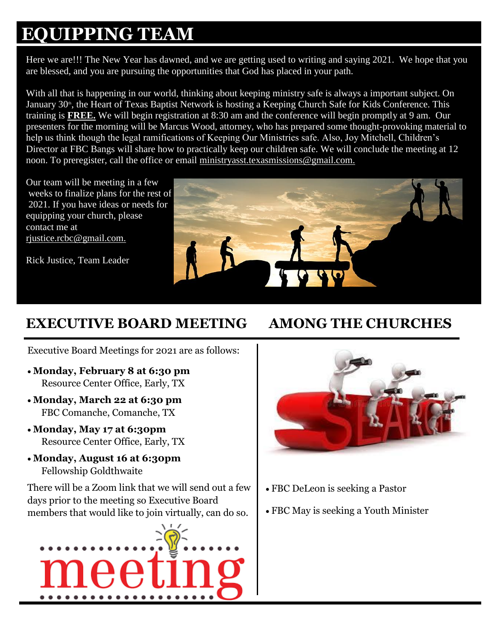### **EQUIPPING TEAM**

Here we are!!! The New Year has dawned, and we are getting used to writing and saying 2021. We hope that you are blessed, and you are pursuing the opportunities that God has placed in your path.

With all that is happening in our world, thinking about keeping ministry safe is always a important subject. On January 30<sup>th</sup>, the Heart of Texas Baptist Network is hosting a Keeping Church Safe for Kids Conference. This training is **FREE.** We will begin registration at 8:30 am and the conference will begin promptly at 9 am. Our presenters for the morning will be Marcus Wood, attorney, who has prepared some thought-provoking material to help us think though the legal ramifications of Keeping Our Ministries safe. Also, Joy Mitchell, Children's Director at FBC Bangs will share how to practically keep our children safe. We will conclude the meeting at 12 noon. To preregister, call the office or email [ministryasst.texasmissions@gmail.com.](mailto:ministryasst.texasmissions@gmail.com.)

Our team will be meeting in a few weeks to finalize plans for the rest of 2021. If you have ideas or needs for equipping your church, please contact me at [rjustice.rcbc@gmail.com.](mailto:rjustice.rcbc@gmail.com.)

Rick Justice, Team Leader



#### **EXECUTIVE BOARD MEETING AMONG THE CHURCHES**

Executive Board Meetings for 2021 are as follows:

- **Monday, February 8 at 6:30 pm**  Resource Center Office, Early, TX
- **Monday, March 22 at 6:30 pm** FBC Comanche, Comanche, TX
- **Monday, May 17 at 6:30pm** Resource Center Office, Early, TX
- **Monday, August 16 at 6:30pm** Fellowship Goldthwaite

There will be a Zoom link that we will send out a few days prior to the meeting so Executive Board members that would like to join virtually, can do so.





- FBC DeLeon is seeking a Pastor
- FBC May is seeking a Youth Minister